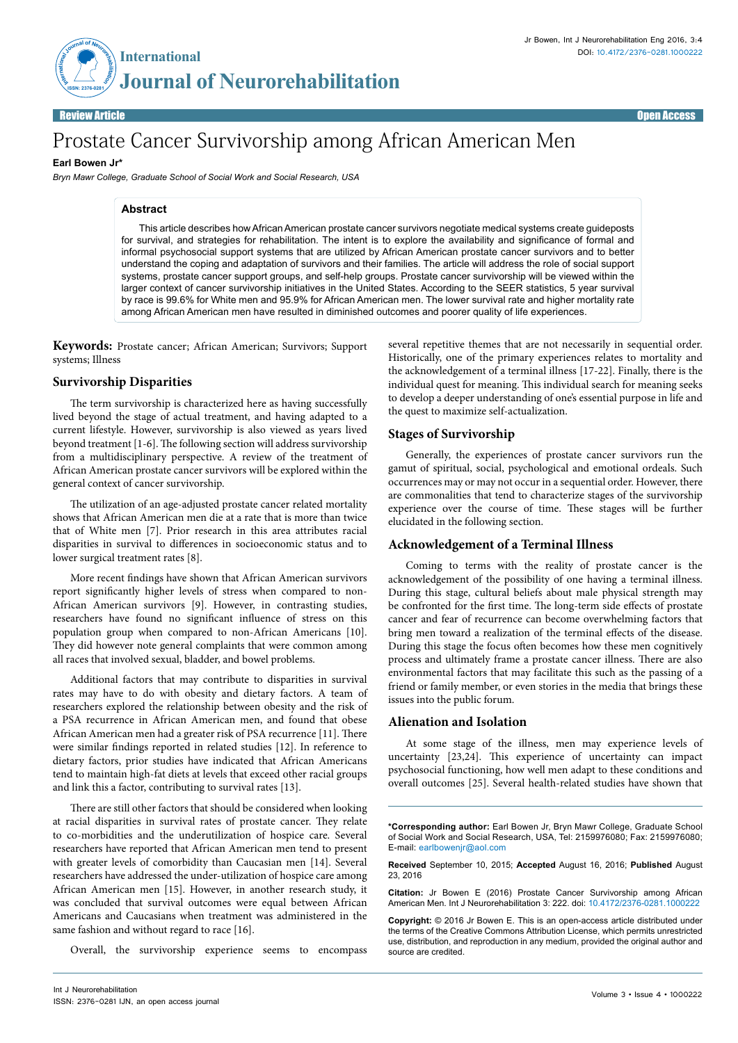

Review Article Contract Communication of the Communication of the Communication of the Communication of the Co

# Prostate Cancer Survivorship among African American Men

## **Earl Bowen Jr\***

*Bryn Mawr College, Graduate School of Social Work and Social Research, USA*

## **Abstract**

This article describes how African American prostate cancer survivors negotiate medical systems create guideposts for survival, and strategies for rehabilitation. The intent is to explore the availability and significance of formal and informal psychosocial support systems that are utilized by African American prostate cancer survivors and to better understand the coping and adaptation of survivors and their families. The article will address the role of social support systems, prostate cancer support groups, and self-help groups. Prostate cancer survivorship will be viewed within the larger context of cancer survivorship initiatives in the United States. According to the SEER statistics, 5 year survival by race is 99.6% for White men and 95.9% for African American men. The lower survival rate and higher mortality rate among African American men have resulted in diminished outcomes and poorer quality of life experiences.

**Keywords:** Prostate cancer; African American; Survivors; Support systems; Illness

### **Survivorship Disparities**

The term survivorship is characterized here as having successfully lived beyond the stage of actual treatment, and having adapted to a current lifestyle. However, survivorship is also viewed as years lived beyond treatment [1-6]. The following section will address survivorship from a multidisciplinary perspective. A review of the treatment of African American prostate cancer survivors will be explored within the general context of cancer survivorship.

The utilization of an age-adjusted prostate cancer related mortality shows that African American men die at a rate that is more than twice that of White men [7]. Prior research in this area attributes racial disparities in survival to differences in socioeconomic status and to lower surgical treatment rates [8].

More recent findings have shown that African American survivors report significantly higher levels of stress when compared to non-African American survivors [9]. However, in contrasting studies, researchers have found no significant influence of stress on this population group when compared to non-African Americans [10]. They did however note general complaints that were common among all races that involved sexual, bladder, and bowel problems.

Additional factors that may contribute to disparities in survival rates may have to do with obesity and dietary factors. A team of researchers explored the relationship between obesity and the risk of a PSA recurrence in African American men, and found that obese African American men had a greater risk of PSA recurrence [11]. There were similar findings reported in related studies [12]. In reference to dietary factors, prior studies have indicated that African Americans tend to maintain high-fat diets at levels that exceed other racial groups and link this a factor, contributing to survival rates [13].

There are still other factors that should be considered when looking at racial disparities in survival rates of prostate cancer. They relate to co-morbidities and the underutilization of hospice care. Several researchers have reported that African American men tend to present with greater levels of comorbidity than Caucasian men [14]. Several researchers have addressed the under-utilization of hospice care among African American men [15]. However, in another research study, it was concluded that survival outcomes were equal between African Americans and Caucasians when treatment was administered in the same fashion and without regard to race [16].

Overall, the survivorship experience seems to encompass

several repetitive themes that are not necessarily in sequential order. Historically, one of the primary experiences relates to mortality and the acknowledgement of a terminal illness [17-22]. Finally, there is the individual quest for meaning. This individual search for meaning seeks to develop a deeper understanding of one's essential purpose in life and the quest to maximize self-actualization.

#### **Stages of Survivorship**

Generally, the experiences of prostate cancer survivors run the gamut of spiritual, social, psychological and emotional ordeals. Such occurrences may or may not occur in a sequential order. However, there are commonalities that tend to characterize stages of the survivorship experience over the course of time. These stages will be further elucidated in the following section.

#### **Acknowledgement of a Terminal Illness**

Coming to terms with the reality of prostate cancer is the acknowledgement of the possibility of one having a terminal illness. During this stage, cultural beliefs about male physical strength may be confronted for the first time. The long-term side effects of prostate cancer and fear of recurrence can become overwhelming factors that bring men toward a realization of the terminal effects of the disease. During this stage the focus often becomes how these men cognitively process and ultimately frame a prostate cancer illness. There are also environmental factors that may facilitate this such as the passing of a friend or family member, or even stories in the media that brings these issues into the public forum.

#### **Alienation and Isolation**

At some stage of the illness, men may experience levels of uncertainty [23,24]. This experience of uncertainty can impact psychosocial functioning, how well men adapt to these conditions and overall outcomes [25]. Several health-related studies have shown that

**Received** September 10, 2015; **Accepted** August 16, 2016; **Published** August 23, 2016

**Citation:** Jr Bowen E (2016) Prostate Cancer Survivorship among African American Men. Int J Neurorehabilitation 3: 222. doi: 10.4172/2376-0281.1000222

**Copyright:** © 2016 Jr Bowen E. This is an open-access article distributed under the terms of the Creative Commons Attribution License, which permits unrestricted use, distribution, and reproduction in any medium, provided the original author and source are credited.

**<sup>\*</sup>Corresponding author:** Earl Bowen Jr, Bryn Mawr College, Graduate School of Social Work and Social Research, USA, Tel: 2159976080; Fax: 2159976080; E-mail: earlbowenjr@aol.com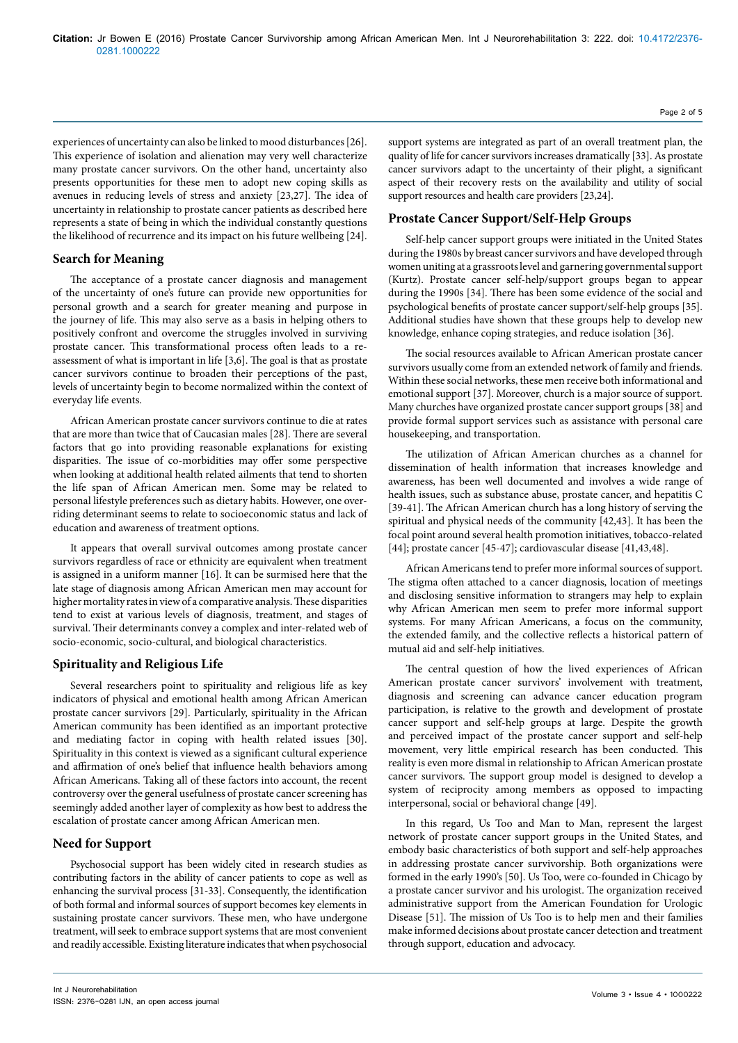experiences of uncertainty can also be linked to mood disturbances [26]. This experience of isolation and alienation may very well characterize many prostate cancer survivors. On the other hand, uncertainty also presents opportunities for these men to adopt new coping skills as avenues in reducing levels of stress and anxiety [23,27]. The idea of uncertainty in relationship to prostate cancer patients as described here represents a state of being in which the individual constantly questions the likelihood of recurrence and its impact on his future wellbeing [24].

#### **Search for Meaning**

The acceptance of a prostate cancer diagnosis and management of the uncertainty of one's future can provide new opportunities for personal growth and a search for greater meaning and purpose in the journey of life. This may also serve as a basis in helping others to positively confront and overcome the struggles involved in surviving prostate cancer. This transformational process often leads to a reassessment of what is important in life [3,6]. The goal is that as prostate cancer survivors continue to broaden their perceptions of the past, levels of uncertainty begin to become normalized within the context of everyday life events.

African American prostate cancer survivors continue to die at rates that are more than twice that of Caucasian males [28]. There are several factors that go into providing reasonable explanations for existing disparities. The issue of co-morbidities may offer some perspective when looking at additional health related ailments that tend to shorten the life span of African American men. Some may be related to personal lifestyle preferences such as dietary habits. However, one overriding determinant seems to relate to socioeconomic status and lack of education and awareness of treatment options.

It appears that overall survival outcomes among prostate cancer survivors regardless of race or ethnicity are equivalent when treatment is assigned in a uniform manner [16]. It can be surmised here that the late stage of diagnosis among African American men may account for higher mortality rates in view of a comparative analysis. These disparities tend to exist at various levels of diagnosis, treatment, and stages of survival. Their determinants convey a complex and inter-related web of socio-economic, socio-cultural, and biological characteristics.

#### **Spirituality and Religious Life**

Several researchers point to spirituality and religious life as key indicators of physical and emotional health among African American prostate cancer survivors [29]. Particularly, spirituality in the African American community has been identified as an important protective and mediating factor in coping with health related issues [30]. Spirituality in this context is viewed as a significant cultural experience and affirmation of one's belief that influence health behaviors among African Americans. Taking all of these factors into account, the recent controversy over the general usefulness of prostate cancer screening has seemingly added another layer of complexity as how best to address the escalation of prostate cancer among African American men.

#### **Need for Support**

Psychosocial support has been widely cited in research studies as contributing factors in the ability of cancer patients to cope as well as enhancing the survival process [31-33]. Consequently, the identification of both formal and informal sources of support becomes key elements in sustaining prostate cancer survivors. These men, who have undergone treatment, will seek to embrace support systems that are most convenient and readily accessible. Existing literature indicates that when psychosocial

support systems are integrated as part of an overall treatment plan, the quality of life for cancer survivors increases dramatically [33]. As prostate cancer survivors adapt to the uncertainty of their plight, a significant aspect of their recovery rests on the availability and utility of social support resources and health care providers [23,24].

#### **Prostate Cancer Support/Self-Help Groups**

Self-help cancer support groups were initiated in the United States during the 1980s by breast cancer survivors and have developed through women uniting at a grassroots level and garnering governmental support (Kurtz). Prostate cancer self-help/support groups began to appear during the 1990s [34]. There has been some evidence of the social and psychological benefits of prostate cancer support/self-help groups [35]. Additional studies have shown that these groups help to develop new knowledge, enhance coping strategies, and reduce isolation [36].

The social resources available to African American prostate cancer survivors usually come from an extended network of family and friends. Within these social networks, these men receive both informational and emotional support [37]. Moreover, church is a major source of support. Many churches have organized prostate cancer support groups [38] and provide formal support services such as assistance with personal care housekeeping, and transportation.

The utilization of African American churches as a channel for dissemination of health information that increases knowledge and awareness, has been well documented and involves a wide range of health issues, such as substance abuse, prostate cancer, and hepatitis C [39-41]. The African American church has a long history of serving the spiritual and physical needs of the community [42,43]. It has been the focal point around several health promotion initiatives, tobacco-related [44]; prostate cancer [45-47]; cardiovascular disease [41,43,48].

African Americans tend to prefer more informal sources of support. The stigma often attached to a cancer diagnosis, location of meetings and disclosing sensitive information to strangers may help to explain why African American men seem to prefer more informal support systems. For many African Americans, a focus on the community, the extended family, and the collective reflects a historical pattern of mutual aid and self-help initiatives.

The central question of how the lived experiences of African American prostate cancer survivors' involvement with treatment, diagnosis and screening can advance cancer education program participation, is relative to the growth and development of prostate cancer support and self-help groups at large. Despite the growth and perceived impact of the prostate cancer support and self-help movement, very little empirical research has been conducted. This reality is even more dismal in relationship to African American prostate cancer survivors. The support group model is designed to develop a system of reciprocity among members as opposed to impacting interpersonal, social or behavioral change [49].

In this regard, Us Too and Man to Man, represent the largest network of prostate cancer support groups in the United States, and embody basic characteristics of both support and self-help approaches in addressing prostate cancer survivorship. Both organizations were formed in the early 1990's [50]. Us Too, were co-founded in Chicago by a prostate cancer survivor and his urologist. The organization received administrative support from the American Foundation for Urologic Disease [51]. The mission of Us Too is to help men and their families make informed decisions about prostate cancer detection and treatment through support, education and advocacy.

Page 2 of 5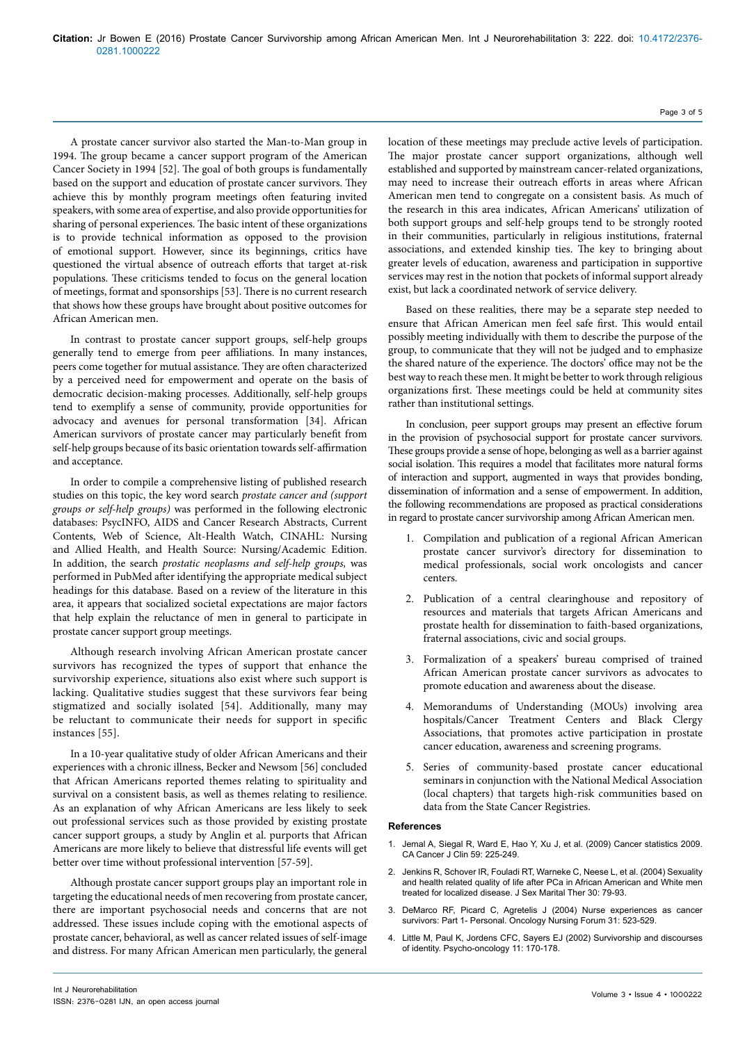A prostate cancer survivor also started the Man-to-Man group in 1994. The group became a cancer support program of the American Cancer Society in 1994 [52]. The goal of both groups is fundamentally based on the support and education of prostate cancer survivors. They achieve this by monthly program meetings often featuring invited speakers, with some area of expertise, and also provide opportunities for sharing of personal experiences. The basic intent of these organizations is to provide technical information as opposed to the provision of emotional support. However, since its beginnings, critics have questioned the virtual absence of outreach efforts that target at-risk populations. These criticisms tended to focus on the general location of meetings, format and sponsorships [53]. There is no current research that shows how these groups have brought about positive outcomes for African American men.

In contrast to prostate cancer support groups, self-help groups generally tend to emerge from peer affiliations. In many instances, peers come together for mutual assistance. They are often characterized by a perceived need for empowerment and operate on the basis of democratic decision-making processes. Additionally, self-help groups tend to exemplify a sense of community, provide opportunities for advocacy and avenues for personal transformation [34]. African American survivors of prostate cancer may particularly benefit from self-help groups because of its basic orientation towards self-affirmation and acceptance.

In order to compile a comprehensive listing of published research studies on this topic, the key word search *prostate cancer and (support groups or self-help groups)* was performed in the following electronic databases: PsycINFO, AIDS and Cancer Research Abstracts, Current Contents, Web of Science, Alt-Health Watch, CINAHL: Nursing and Allied Health, and Health Source: Nursing/Academic Edition. In addition, the search *prostatic neoplasms and self-help groups,* was performed in PubMed after identifying the appropriate medical subject headings for this database. Based on a review of the literature in this area, it appears that socialized societal expectations are major factors that help explain the reluctance of men in general to participate in prostate cancer support group meetings.

Although research involving African American prostate cancer survivors has recognized the types of support that enhance the survivorship experience, situations also exist where such support is lacking. Qualitative studies suggest that these survivors fear being stigmatized and socially isolated [54]. Additionally, many may be reluctant to communicate their needs for support in specific instances [55].

In a 10-year qualitative study of older African Americans and their experiences with a chronic illness, Becker and Newsom [56] concluded that African Americans reported themes relating to spirituality and survival on a consistent basis, as well as themes relating to resilience. As an explanation of why African Americans are less likely to seek out professional services such as those provided by existing prostate cancer support groups, a study by Anglin et al. purports that African Americans are more likely to believe that distressful life events will get better over time without professional intervention [57-59].

Although prostate cancer support groups play an important role in targeting the educational needs of men recovering from prostate cancer, there are important psychosocial needs and concerns that are not addressed. These issues include coping with the emotional aspects of prostate cancer, behavioral, as well as cancer related issues of self-image and distress. For many African American men particularly, the general location of these meetings may preclude active levels of participation. The major prostate cancer support organizations, although well established and supported by mainstream cancer-related organizations, may need to increase their outreach efforts in areas where African American men tend to congregate on a consistent basis. As much of the research in this area indicates, African Americans' utilization of both support groups and self-help groups tend to be strongly rooted in their communities, particularly in religious institutions, fraternal associations, and extended kinship ties. The key to bringing about greater levels of education, awareness and participation in supportive services may rest in the notion that pockets of informal support already exist, but lack a coordinated network of service delivery.

Based on these realities, there may be a separate step needed to ensure that African American men feel safe first. This would entail possibly meeting individually with them to describe the purpose of the group, to communicate that they will not be judged and to emphasize the shared nature of the experience. The doctors' office may not be the best way to reach these men. It might be better to work through religious organizations first. These meetings could be held at community sites rather than institutional settings.

In conclusion, peer support groups may present an effective forum in the provision of psychosocial support for prostate cancer survivors. These groups provide a sense of hope, belonging as well as a barrier against social isolation. This requires a model that facilitates more natural forms of interaction and support, augmented in ways that provides bonding, dissemination of information and a sense of empowerment. In addition, the following recommendations are proposed as practical considerations in regard to prostate cancer survivorship among African American men.

- 1. Compilation and publication of a regional African American prostate cancer survivor's directory for dissemination to medical professionals, social work oncologists and cancer centers.
- 2. Publication of a central clearinghouse and repository of resources and materials that targets African Americans and prostate health for dissemination to faith-based organizations, fraternal associations, civic and social groups.
- 3. Formalization of a speakers' bureau comprised of trained African American prostate cancer survivors as advocates to promote education and awareness about the disease.
- 4. Memorandums of Understanding (MOUs) involving area hospitals/Cancer Treatment Centers and Black Clergy Associations, that promotes active participation in prostate cancer education, awareness and screening programs.
- 5. Series of community-based prostate cancer educational seminars in conjunction with the National Medical Association (local chapters) that targets high-risk communities based on data from the State Cancer Registries.

#### **References**

- Jemal A, Siegal R, Ward E, Hao Y, Xu J, et [al. \(2009\) Cancer](http://dx.doi.org/10.3322/caac.20006) statistics 2009. CA Cancer J Clin [59: 225-249.](http://dx.doi.org/10.3322/caac.20006)
- Jenkins R, Schover IR, Fouladi RT, Warneke C, Neese L, et [al. \(2004\) Sexuality](http://stressandimmunity.osu.edu/images/sipc/PublishedMeasures/JenkinsSchover2004.pdf) and health related quality of life after PCa in African [American](http://stressandimmunity.osu.edu/images/sipc/PublishedMeasures/JenkinsSchover2004.pdf) and White men treated for localized disease. J Sex Marital Ther [30: 79-93.](http://stressandimmunity.osu.edu/images/sipc/PublishedMeasures/JenkinsSchover2004.pdf)
- 3. DeMarco RF, Picard C, Agretelis [J \(2004\) Nurse](http://dx.doi.org/10.1188/04.ONF.523-530) experiences as cancer survivors: Part [1- Personal. Oncology](http://dx.doi.org/10.1188/04.ONF.523-530) Nursing Forum 31: 523-529.
- 4. Little M, Paul K, Jordens CFC, Sayers [EJ \(2002\) Survivorship](http://www.pubpdf.com/pub/11921332/Survivorship-and-discourses-of-identity) and discourses of [identity. Psycho-oncology](http://www.pubpdf.com/pub/11921332/Survivorship-and-discourses-of-identity) 11: 170-178.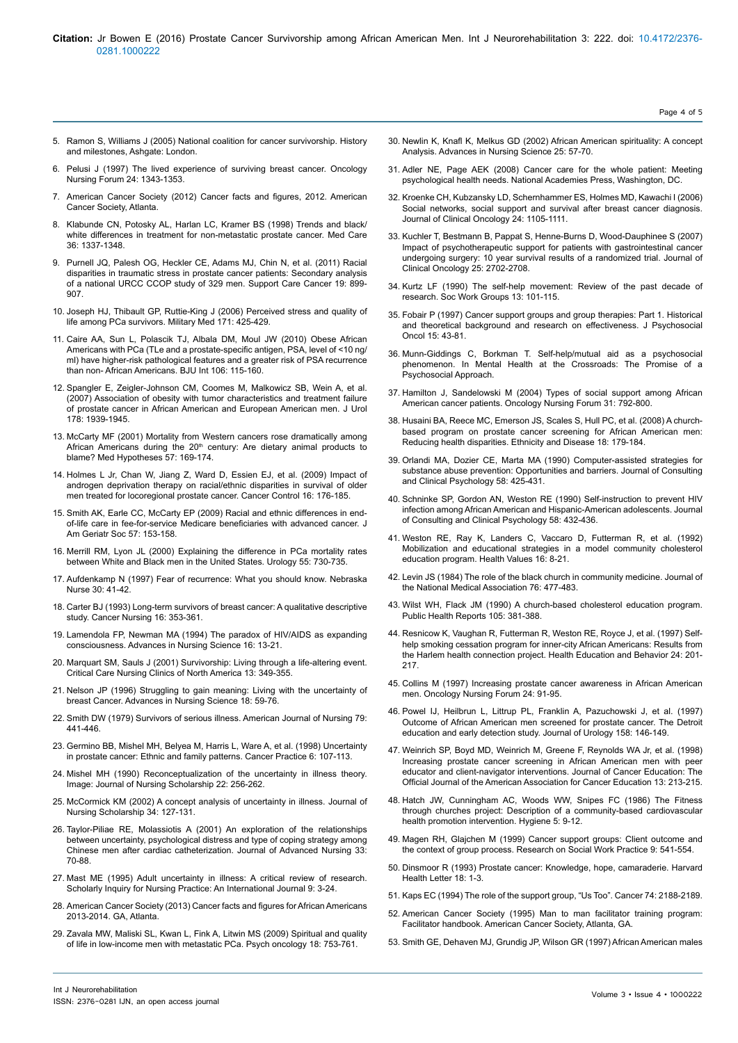- 5. Ramon S, Williams J (2005) National coalition for cancer [survivorship. History](http://www.canceradvocacy.org/about-us/our-history/) and [milestones, Ashgate: London.](http://www.canceradvocacy.org/about-us/our-history/)
- 6. Pelusi J (1997) The lived experience of surviving breast [cancer. Oncology](http://dx.doi.org/10.1016/S0001-2092(06)62655-0) Nursing Forum [24: 1343-1353.](http://dx.doi.org/10.1016/S0001-2092(06)62655-0)
- 7. American Cancer [Society \(2012\) Cancer](http://www.cancer.org/research/cancerfactsstatistics/cancerfactsfigures2012/) facts and figures, 2012. American Cancer [Society, Atlanta.](http://www.cancer.org/research/cancerfactsstatistics/cancerfactsfigures2012/)
- 8. Klabunde CN, Potosky AL, Harlan LC, Kramer [BS \(1998\) Trends](https://www.jstor.org/stable/3767496) and black/ white differences in treatment for [non-metastatic](https://www.jstor.org/stable/3767496) prostate cancer. Med Care [36: 1337-1348.](https://www.jstor.org/stable/3767496)
- 9. Purnell JQ, Palesh OG, Heckler CE, Adams MJ, Chin N, et [al. \(2011\) Racial](http://dx.doi.org/10.1007/s00520-010-0880-3) disparities in traumatic stress in prostate cancer [patients: Secondary](http://dx.doi.org/10.1007/s00520-010-0880-3) analysis of a national URCC CCOP study of 329 [men. Support](http://dx.doi.org/10.1007/s00520-010-0880-3) Care Cancer 19: 899- [907.](http://dx.doi.org/10.1007/s00520-010-0880-3)
- 10. Joseph HJ, Thibault GP, Ruttie-King J (2006) Perceived stress and quality of life among PCa survivors. Military Med 171: 425-429.
- 11. Caire AA, Sun L, Polascik TJ, Albala DM, Moul [JW \(2010\) Obese](http://dx.doi.org/10.1111/j.1464-410X.2010.09340.x) African Americans with PCa (TLe and a prostate-specific [antigen, PSA, level](http://dx.doi.org/10.1111/j.1464-410X.2010.09340.x) of <10 ng/ ml) have higher-risk [pathological](http://dx.doi.org/10.1111/j.1464-410X.2010.09340.x) features and a greater risk of PSA recurrence than non- African [Americans. BJU](http://dx.doi.org/10.1111/j.1464-410X.2010.09340.x) Int 106: 115-160.
- 12. Spangler [E, Zeigler-Johnson](http://dx.doi.org/10.1016/j.juro.2007.07.021) CM, Coomes M, Malkowicz SB, Wein A, et al. [\(2007\) Association](http://dx.doi.org/10.1016/j.juro.2007.07.021) of obesity with tumor characteristics and treatment failure of prostate cancer in African American and [European](http://dx.doi.org/10.1016/j.juro.2007.07.021) American men. J Urol [178: 1939-1945.](http://dx.doi.org/10.1016/j.juro.2007.07.021)
- 13. McCarty [MF \(2001\) Mortality](http://dx.doi.org/10.1054/mehy.2000.1315) from Western cancers rose dramatically among African Americans during the 20<sup>th</sup> [century: Are](http://dx.doi.org/10.1054/mehy.2000.1315) dietary animal products to blame? Med Hypotheses [57: 169-174.](http://dx.doi.org/10.1054/mehy.2000.1315)
- 14. Holmes L Jr, Chan W, Jiang Z, Ward D, Essien EJ, et [al. \(2009\) Impact](https://uthealth.influuent.utsystem.edu/en/publications/impact-of-androgen-deprivation-therapy-on-racialethnic-disparitie) of androgen deprivation therapy on [racial/ethnic](https://uthealth.influuent.utsystem.edu/en/publications/impact-of-androgen-deprivation-therapy-on-racialethnic-disparitie) disparities in survival of older men treated for locoregional prostate [cancer. Cancer](https://uthealth.influuent.utsystem.edu/en/publications/impact-of-androgen-deprivation-therapy-on-racialethnic-disparitie) Control 16: 176-185.
- 15. Smith AK, Earle CC, McCarty [EP \(2009\) Racial](http://dx.doi.org/10.1111/j.1532-5415.2008.02081.x) and ethnic differences in endof-life care in [fee-for-service](http://dx.doi.org/10.1111/j.1532-5415.2008.02081.x) Medicare beneficiaries with advanced cancer. J Am Geriatr Soc [57: 153-158](http://dx.doi.org/10.1111/j.1532-5415.2008.02081.x).
- 16. Merrill RM, Lyon JL (2000) Explaining the difference in PCa mortality rates between White and Black men in the United States. Urology 55: 730-735.
- 17. Aufdenkamp N (1997) Fear of recurrence: What you should know. Nebraska Nurse 30: 41-42.
- 18. Carter BJ (1993) Long-term survivors of breast cancer: A qualitative descriptive study. Cancer Nursing 16: 353-361.
- 19. Lamendola FP, Newman [MA \(1994\) The](http://journals.lww.com/advancesinnursingscience/Abstract/1994/03000/The_paradox_of_HIV_AIDS_as_expanding.4.aspx) paradox of HIV/AIDS as expanding [consciousness. Advances](http://journals.lww.com/advancesinnursingscience/Abstract/1994/03000/The_paradox_of_HIV_AIDS_as_expanding.4.aspx) in Nursing Science 16: 13-21.
- 20. Marquart SM, Sauls J (2001) Survivorship: Living through a life-altering event. Critical Care Nursing Clinics of North America 13: 349-355.
- 21. Nelson [JP \(1996\) Struggling](https://www.researchgate.net/publication/14540587_Struggling_to_Gain_Meaning_Living_with_the_Uncertainty_of_Breast_Cancer) to gain meaning: Living with the uncertainty of breast [Cancer. Advances](https://www.researchgate.net/publication/14540587_Struggling_to_Gain_Meaning_Living_with_the_Uncertainty_of_Breast_Cancer) in Nursing Science 18: 59-76.
- 22. Smith [DW \(1979\) Survivors](http://dx.doi.org/10.2307/3462378) of serious illness. American Journal of Nursing 79: [441-446.](http://dx.doi.org/10.2307/3462378)
- 23. Germino BB, Mishel MH, Belyea M, Harris L, Ware A, et [al. \(1998\) Uncertainty](https://www.researchgate.net/publication/51345838_Uncertainty_in_prostate_cancer_-_Ethnic_and_family_patterns) in prostate cancer: Ethnic and family [patterns. Cancer](https://www.researchgate.net/publication/51345838_Uncertainty_in_prostate_cancer_-_Ethnic_and_family_patterns) Practice 6: 107-113.
- 24. Mishel [MH \(1990\) Reconceptualization](http://dx.doi.org/10.1111/j.1547-5069.1990.tb00225.x) of the uncertainty in illness theory. [Image: Journal](http://dx.doi.org/10.1111/j.1547-5069.1990.tb00225.x) of Nursing Scholarship 22: 256-262.
- 25. McCormick KM (2002) A concept analysis of uncertainty in [illness. Journal](http://dx.doi.org/10.1111/j.1547-5069.2002.00127.x) of Nursing Scholarship [34: 127-131.](http://dx.doi.org/10.1111/j.1547-5069.2002.00127.x)
- 26. Taylor-Piliae [RE, Molassiotis](http://dx.doi.org/10.1046/j.1365-2648.2001.01640.x) A (2001) An exploration of the relationships between [uncertainty, psychological](http://dx.doi.org/10.1046/j.1365-2648.2001.01640.x) distress and type of coping strategy among Chinese men after cardiac [catheterization. Journal](http://dx.doi.org/10.1046/j.1365-2648.2001.01640.x) of Advanced Nursing 33: [70-88.](http://dx.doi.org/10.1046/j.1365-2648.2001.01640.x)
- 27. Mast [ME \(1995\) Adult](https://www.researchgate.net/publication/15420938_Adult_uncertainty_in_illness_A_critical_review_of_research) uncertainty in illness: A critical review of research. Scholarly Inquiry for Nursing Practice: An [International](https://www.researchgate.net/publication/15420938_Adult_uncertainty_in_illness_A_critical_review_of_research) Journal 9: 3-24.
- 28. American Cancer [Society \(2013\) Cancer](http://www.cancer.org/research/cancerfactsfigures/cancerfactsfiguresforafricanamericans/cancer-facts-figures-african-americans-2013-2014) facts and figures for African Americans [2013-2014. GA, Atlanta.](http://www.cancer.org/research/cancerfactsfigures/cancerfactsfiguresforafricanamericans/cancer-facts-figures-african-americans-2013-2014)
- 29. Zavala MW, Maliski SL, Kwan L, Fink A, Litwin [MS \(2009\) Spiritual](http://dx.doi.org/10.1002/pon.1460) and quality of life in low-income men with metastatic PCa. Psych oncology [18: 753-761.](http://dx.doi.org/10.1002/pon.1460)
- 30. Newlin K, Knafl K, Melkus [GD \(2002\) African](https://www.researchgate.net/publication/10988073_African-American_Spirituality_A_Concept_Analysis) American spirituality: A concept [Analysis. Advances](https://www.researchgate.net/publication/10988073_African-American_Spirituality_A_Concept_Analysis) in Nursing Science 25: 57-70.
- 31. Adler NE, Page [AEK \(2008\) Cancer](http://dx.doi.org/10.17226/11993) care for the whole patient: Meeting psychological health needs. National Academies [Press, Washington, DC.](http://dx.doi.org/10.17226/11993)
- 32. Kroenke CH, Kubzansky [LD, Schernhammer](https://dx.doi.org/10.1200/JCO.2005.04.2846) ES, Holmes MD, Kawachi I (2006) Social [networks, social](https://dx.doi.org/10.1200/JCO.2005.04.2846) support and survival after breast cancer diagnosis. Journal of Clinical Oncology [24: 1105-1111.](https://dx.doi.org/10.1200/JCO.2005.04.2846)
- 33. Kuchler T, Bestmann B, Pappat S, Henne-Burns [D, Wood-Dauphinee](http://dx.doi.org/10.1200/JCO.2006.08.2883) S (2007) Impact of [psychotherapeutic](http://dx.doi.org/10.1200/JCO.2006.08.2883) support for patients with gastrointestinal cancer undergoing surgery: 10 year survival results of a randomized [trial. Journal](http://dx.doi.org/10.1200/JCO.2006.08.2883) of Clinical Oncology [25: 2702-2708.](http://dx.doi.org/10.1200/JCO.2006.08.2883)
- 34. Kurtz LF (1990) The self-help [movement: Review](https://dx.doi.org/10.1300/J009v13n03_11) of the past decade of [research. Soc](https://dx.doi.org/10.1300/J009v13n03_11) Work Groups 13: 101-115.
- 35. Fobair [P \(1997\) Cancer](http://www.tandfonline.com/doi/pdf/10.1300/J077v15n01_05) support groups and group therapies: Part 1. Historical and theoretical background and research on [effectiveness. J](http://www.tandfonline.com/doi/pdf/10.1300/J077v15n01_05) Psychosocial Oncol [15: 43-81.](http://www.tandfonline.com/doi/pdf/10.1300/J077v15n01_05)
- 36. Munn-Giddings C, Borkman T. Self-help/mutual aid as a psychosocial phenomenon. In Mental Health at the Crossroads: The Promise of a Psychosocial Approach.
- 37. Hamilton J, Sandelowski [M \(2004\) Types](https://dx.doi.org/10.1188/04.ONF.792-800) of social support among African American cancer [patients. Oncology](https://dx.doi.org/10.1188/04.ONF.792-800) Nursing Forum 31: 792-800.
- 38. Husaini BA, Reece [MC, Emerson](http://www.w.ishib.org/journal/18-2s2/ethn-18-02s2-179.pdf) JS, Scales S, Hull PC, et al. (2008) A churchbased program on prostate cancer [screening](http://www.w.ishib.org/journal/18-2s2/ethn-18-02s2-179.pdf) for African American men: Reducing health [disparities. Ethnicity](http://www.w.ishib.org/journal/18-2s2/ethn-18-02s2-179.pdf) and Disease 18: 179-184.
- 39. Orlandi MA, Dozier CE, Marta [MA \(1990\) Computer-assisted](http://psycnet.apa.org/index.cfm?fa=buy.optionToBuy&id=1991-02583-001) strategies for substance abuse [prevention: Opportunities](http://psycnet.apa.org/index.cfm?fa=buy.optionToBuy&id=1991-02583-001) and barriers. Journal of Consulting and Clinical Psychology [58: 425-431.](http://psycnet.apa.org/index.cfm?fa=buy.optionToBuy&id=1991-02583-001)
- 40. Schninke SP, Gordon AN, Weston [RE \(1990\) Self-instruction](http://dx.doi.org/10.1037/0022-006X.58.4.432) to prevent HIV infection among African American and Hispanic-American [adolescents. Journal](http://dx.doi.org/10.1037/0022-006X.58.4.432) of Consulting and Clinical Psychology [58: 432-436.](http://dx.doi.org/10.1037/0022-006X.58.4.432)
- 41. Weston RE, Ray K, Landers C, Vaccaro [D, Futterman](http://eric.ed.gov/?id=EJ458494) R, et al. (1992) [Mobilization](http://eric.ed.gov/?id=EJ458494) and educational strategies in a model community cholesterol education [program. Health](http://eric.ed.gov/?id=EJ458494) Values 16: 8-21.
- 42. Levin JS (1984) The role of the black church in community [medicine. Journal](https://www.researchgate.net/publication/16460499_The_role_of_the_black_church_in_community_medicine) of the National Medical Association [76: 477-483.](https://www.researchgate.net/publication/16460499_The_role_of_the_black_church_in_community_medicine)
- 43. Wilst WH, Flack JM (1990) A [church-based](http://www.jstor.org/stable/4628896?seq=1#page_scan_tab_contents) cholesterol education program. Public Health Reports [105: 381-388.](http://www.jstor.org/stable/4628896?seq=1#page_scan_tab_contents)
- 44. Resnicow K, Vaughan R, Futterman R, Weston RE, Royce J, et [al. \(1997\) Self](https://www.researchgate.net/publication/14134281_A_Self-Help_Smoking_Cessation_Program_for_Inner-City_African_Americans_Results_from_the_Harlem_Health_Connection_Project)help smoking cessation program for inner-city African [Americans: Results](https://www.researchgate.net/publication/14134281_A_Self-Help_Smoking_Cessation_Program_for_Inner-City_African_Americans_Results_from_the_Harlem_Health_Connection_Project) from the Harlem health connection [project. Health](https://www.researchgate.net/publication/14134281_A_Self-Help_Smoking_Cessation_Program_for_Inner-City_African_Americans_Results_from_the_Harlem_Health_Connection_Project) Education and Behavior 24: 201- [217.](https://www.researchgate.net/publication/14134281_A_Self-Help_Smoking_Cessation_Program_for_Inner-City_African_Americans_Results_from_the_Harlem_Health_Connection_Project)
- 45. Collins [M \(1997\) Increasing](http://dx.doi.org/10.1353/hpu.0.0366) prostate cancer awareness in African American [men. Oncology](http://dx.doi.org/10.1353/hpu.0.0366) Nursing Forum 24: 91-95.
- 46. Powel IJ, Heilbrun L, Littrup PL, Franklin [A, Pazuchowski](http://dx.doi.org/10.1097/00005392-199707000-00045) J, et al. (1997) Outcome of African American men screened for prostate [cancer. The](http://dx.doi.org/10.1097/00005392-199707000-00045) Detroit education and early detection study. Journal of Urology [158: 146-149.](http://dx.doi.org/10.1097/00005392-199707000-00045)
- 47. Weinrich SP, Boyd [MD, Weinrich](https://www.researchgate.net/publication/13404806_Increasing_prostate_cancer_screening_in_African_American_men_with_peer-_educator_and_client-navigator_interventions) M, Greene F, Reynolds WA Jr, et al. (1998) [Increasing](https://www.researchgate.net/publication/13404806_Increasing_prostate_cancer_screening_in_African_American_men_with_peer-_educator_and_client-navigator_interventions) prostate cancer screening in African American men with peer educator and client-navigator [interventions. Journal](https://www.researchgate.net/publication/13404806_Increasing_prostate_cancer_screening_in_African_American_men_with_peer-_educator_and_client-navigator_interventions) of Cancer Education: The Official Journal of the American Association for Cancer Education [13: 213-215.](https://www.researchgate.net/publication/13404806_Increasing_prostate_cancer_screening_in_African_American_men_with_peer-_educator_and_client-navigator_interventions)
- 48. Hatch [JW, Cunningham](http://www.pdq-evidence.org/documents/15acc2eca7b49d19ac067bca4acd8894104fa9d2/) AC, Woods WW, Snipes FC (1986) The Fitness through churches [project: Description](http://www.pdq-evidence.org/documents/15acc2eca7b49d19ac067bca4acd8894104fa9d2/) of a community-based cardiovascular health promotion [intervention. Hygiene](http://www.pdq-evidence.org/documents/15acc2eca7b49d19ac067bca4acd8894104fa9d2/) 5: 9-12.
- 49. Magen RH, Glajchen [M \(1999\) Cancer](http://dx.doi.org/10.1177/104973159900900502) support groups: Client outcome and the context of group [process. Research](http://dx.doi.org/10.1177/104973159900900502) on Social Work Practice 9: 541-554.
- 50. Dinsmoor R (1993) Prostate cancer: Knowledge, hope, camaraderie. Harvard Health Letter 18: 1-3.
- 51. Kaps EC (1994) The role of the support group, "Us Too". Cancer 74: 2188-2189.
- 52. American Cancer Society (1995) Man to man facilitator training program: Facilitator handbook. American Cancer Society, Atlanta, GA.
- 53. Smith GE, Dehaven MJ, Grundig JP, Wilson GR (1997) African American males